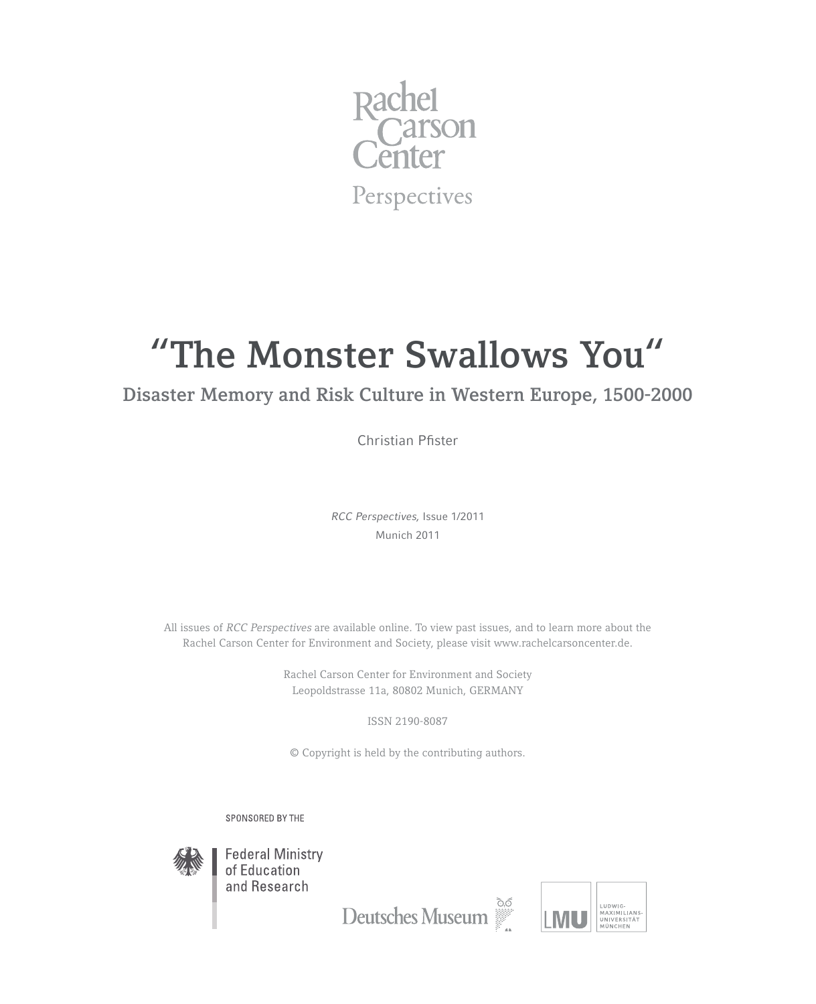

# **"The Monster Swallows You"**

## **Disaster Memory and Risk Culture in Western Europe, 1500-2000**

Christian Pfister

*RCC Perspectives,* Issue 1/2011 Munich 2011

All issues of *RCC Perspectives* are available online. To view past issues, and to learn more about the Rachel Carson Center for Environment and Society, please visit www.rachelcarsoncenter.de.

> Rachel Carson Center for Environment and Society Leopoldstrasse 11a, 80802 Munich, GERMANY

> > ISSN 2190-8087

© Copyright is held by the contributing authors.

SPONSORED BY THE



**Federal Ministry** of Education and Research

Deutsches Museum

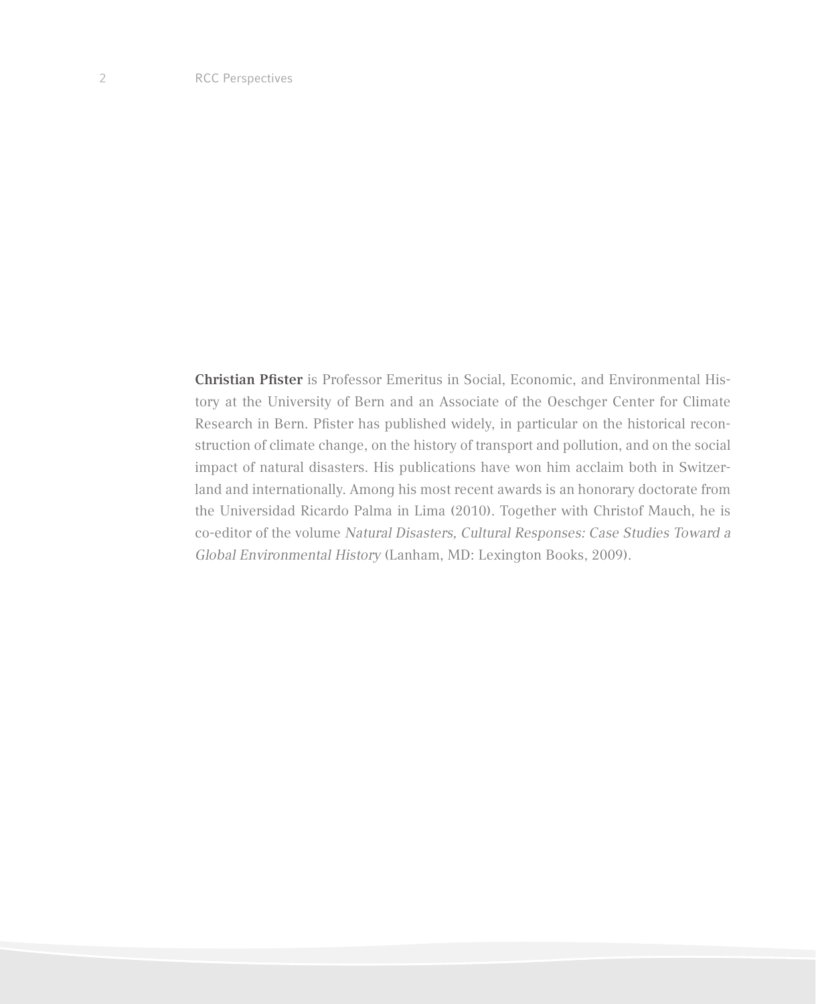**Christian Pfister** is Professor Emeritus in Social, Economic, and Environmental History at the University of Bern and an Associate of the Oeschger Center for Climate Research in Bern. Pfister has published widely, in particular on the historical reconstruction of climate change, on the history of transport and pollution, and on the social impact of natural disasters. His publications have won him acclaim both in Switzerland and internationally. Among his most recent awards is an honorary doctorate from the Universidad Ricardo Palma in Lima (2010). Together with Christof Mauch, he is co-editor of the volume *Natural Disasters, Cultural Responses: Case Studies Toward a Global Environmental History* (Lanham, MD: Lexington Books, 2009).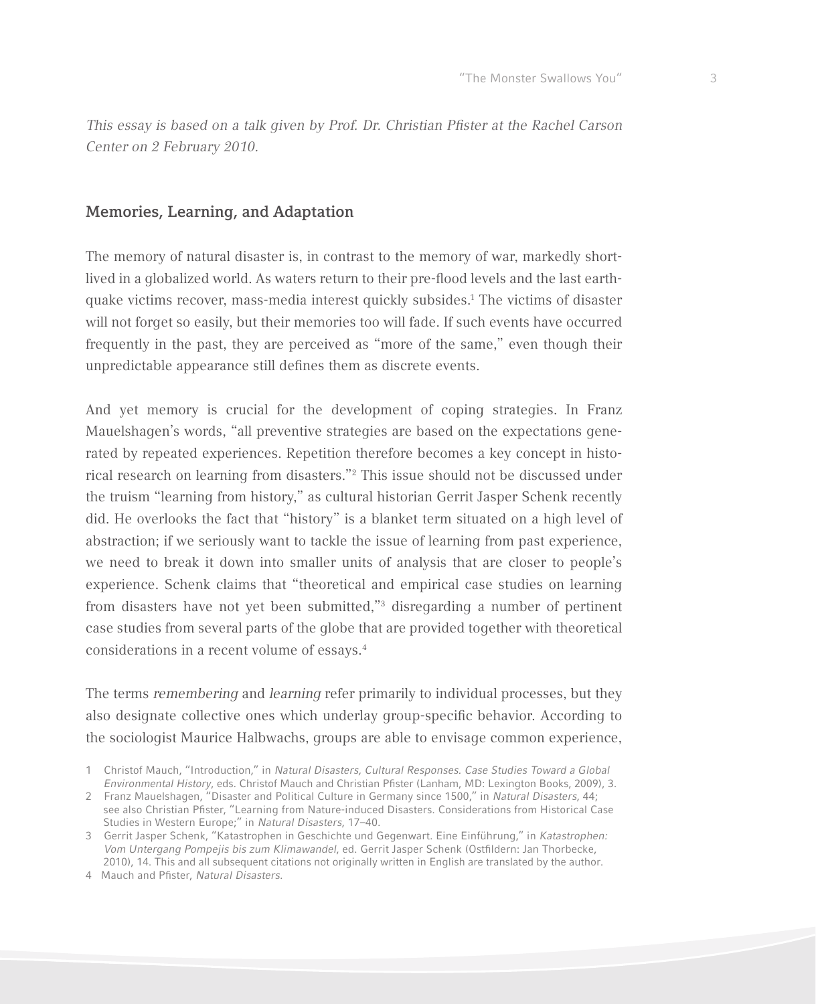*This essay is based on a talk given by Prof. Dr. Christian Pfister at the Rachel Carson Center on 2 February 2010.*

## **Memories, Learning, and Adaptation**

The memory of natural disaster is, in contrast to the memory of war, markedly shortlived in a globalized world. As waters return to their pre-flood levels and the last earthquake victims recover, mass-media interest quickly subsides.<sup>1</sup> The victims of disaster will not forget so easily, but their memories too will fade. If such events have occurred frequently in the past, they are perceived as "more of the same," even though their unpredictable appearance still defines them as discrete events.

And yet memory is crucial for the development of coping strategies. In Franz Mauelshagen's words, "all preventive strategies are based on the expectations generated by repeated experiences. Repetition therefore becomes a key concept in historical research on learning from disasters."<sup>2</sup> This issue should not be discussed under the truism "learning from history," as cultural historian Gerrit Jasper Schenk recently did. He overlooks the fact that "history" is a blanket term situated on a high level of abstraction; if we seriously want to tackle the issue of learning from past experience, we need to break it down into smaller units of analysis that are closer to people's experience. Schenk claims that "theoretical and empirical case studies on learning from disasters have not yet been submitted,"<sup>3</sup> disregarding a number of pertinent case studies from several parts of the globe that are provided together with theoretical considerations in a recent volume of essays.4

The terms *remembering* and *learning* refer primarily to individual processes, but they also designate collective ones which underlay group-specific behavior. According to the sociologist Maurice Halbwachs, groups are able to envisage common experience,

4 Mauch and Pfister, *Natural Disasters*.

<sup>1</sup> Christof Mauch, "Introduction," in *Natural Disasters, Cultural Responses. Case Studies Toward a Global Environmental History*, eds. Christof Mauch and Christian Pfister (Lanham, MD: Lexington Books, 2009), 3.

<sup>2</sup> Franz Mauelshagen, "Disaster and Political Culture in Germany since 1500," in *Natural Disasters*, 44; see also Christian Pfister, "Learning from Nature-induced Disasters. Considerations from Historical Case Studies in Western Europe;" in *Natural Disasters*, 17–40.

<sup>3</sup> Gerrit Jasper Schenk, "Katastrophen in Geschichte und Gegenwart. Eine Einführung," in *Katastrophen: Vom Untergang Pompejis bis zum Klimawandel*, ed. Gerrit Jasper Schenk (Ostfildern: Jan Thorbecke, 2010), 14. This and all subsequent citations not originally written in English are translated by the author.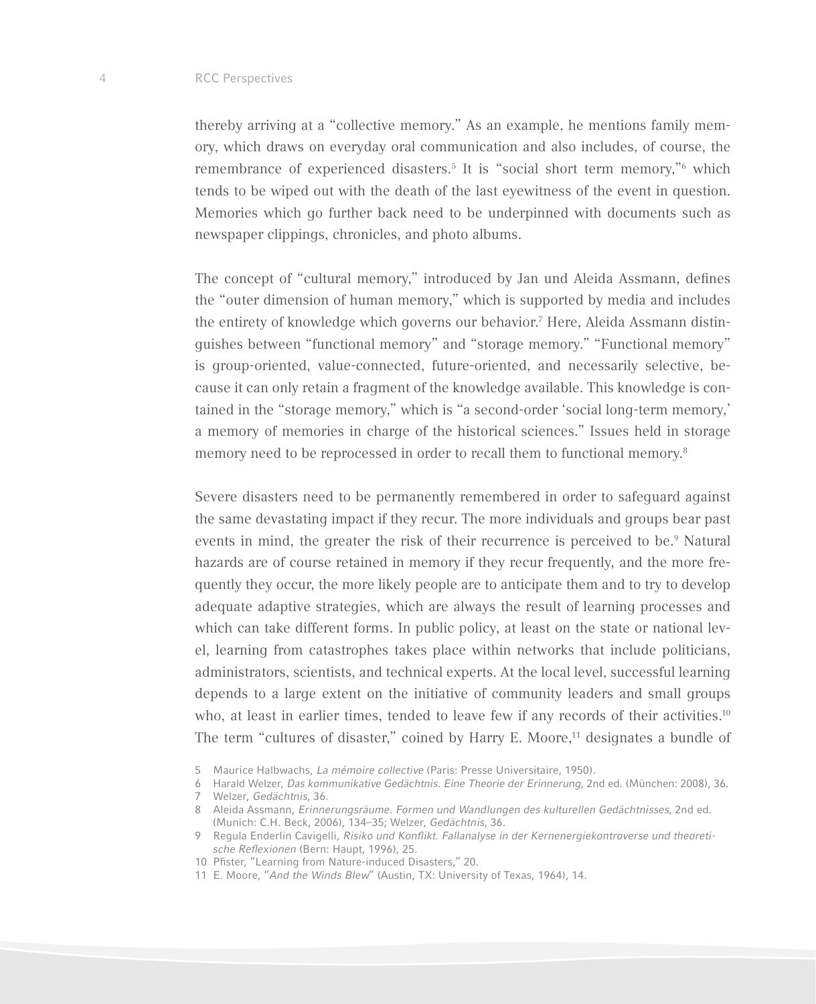#### 4 RCC Perspectives

thereby arriving at a "collective memory." As an example, he mentions family memory, which draws on everyday oral communication and also includes, of course, the remembrance of experienced disasters.<sup>5</sup> It is "social short term memory,"<sup>6</sup> which tends to be wiped out with the death of the last eyewitness of the event in question. Memories which go further back need to be underpinned with documents such as newspaper clippings, chronicles, and photo albums.

The concept of "cultural memory," introduced by Jan und Aleida Assmann, defines the "outer dimension of human memory," which is supported by media and includes the entirety of knowledge which governs our behavior.<sup>7</sup> Here, Aleida Assmann distinguishes between "functional memory" and "storage memory." "Functional memory" is group-oriented, value-connected, future-oriented, and necessarily selective, because it can only retain a fragment of the knowledge available. This knowledge is contained in the "storage memory," which is "a second-order 'social long-term memory,' a memory of memories in charge of the historical sciences." Issues held in storage memory need to be reprocessed in order to recall them to functional memory.<sup>8</sup>

Severe disasters need to be permanently remembered in order to safeguard against the same devastating impact if they recur. The more individuals and groups bear past events in mind, the greater the risk of their recurrence is perceived to be.<sup>9</sup> Natural hazards are of course retained in memory if they recur frequently, and the more frequently they occur, the more likely people are to anticipate them and to try to develop adequate adaptive strategies, which are always the result of learning processes and which can take different forms. In public policy, at least on the state or national level, learning from catastrophes takes place within networks that include politicians, administrators, scientists, and technical experts. At the local level, successful learning depends to a large extent on the initiative of community leaders and small groups who, at least in earlier times, tended to leave few if any records of their activities.<sup>10</sup> The term "cultures of disaster," coined by Harry E. Moore,<sup>11</sup> designates a bundle of

<sup>5</sup> Maurice Halbwachs, *La mémoire collective* (Paris: Presse Universitaire, 1950).

<sup>6</sup> Harald Welzer, *Das kommunikative Gedächtnis. Eine Theorie der Erinnerung*, 2nd ed. (München: 2008), 36.

<sup>7</sup> Welzer, *Gedächtnis*, 36.

<sup>8</sup> Aleida Assmann, *Erinnerungsräume. Formen und Wandlungen des kulturellen Gedächtnisses*, 2nd ed. (Munich: C.H. Beck, 2006), 134–35; Welzer, *Gedächtnis*, 36.

<sup>9</sup> Regula Enderlin Cavigelli, Risiko und Konflikt. Fallanalyse in der Kernenergiekontroverse und theoretische Reflexionen (Bern: Haupt, 1996), 25.

<sup>10</sup> Pfister, "Learning from Nature-induced Disasters," 20.

<sup>11</sup> E. Moore, "*And the Winds Blew*" (Austin, TX: University of Texas, 1964), 14.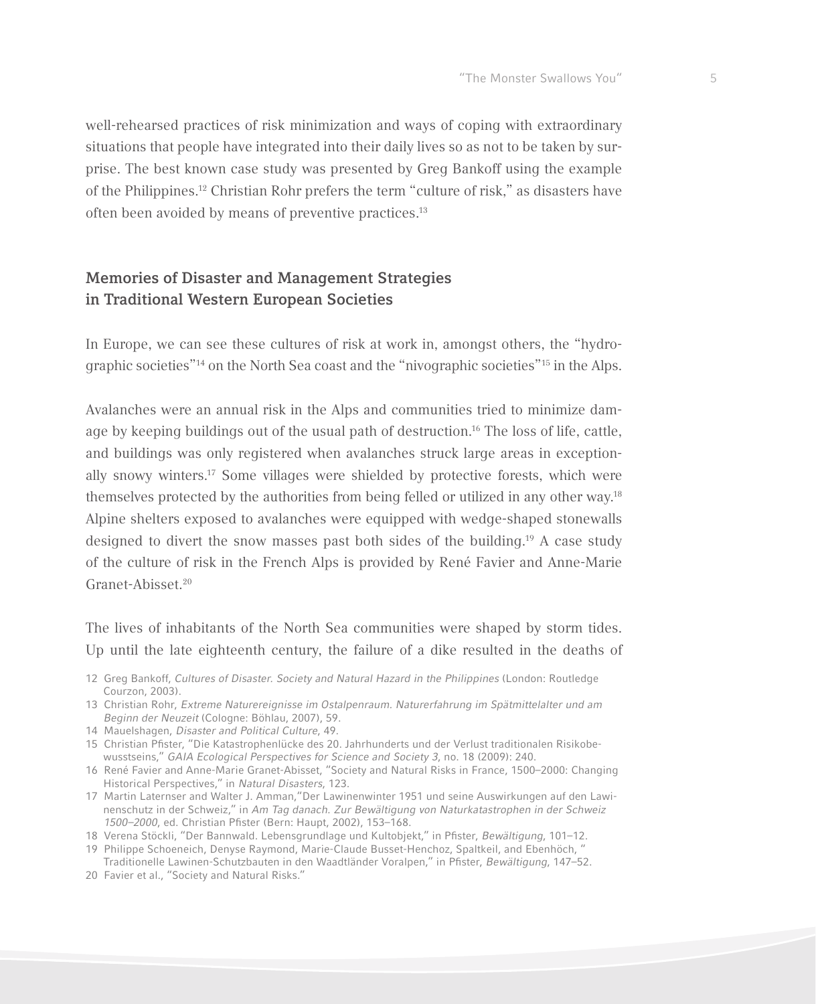

well-rehearsed practices of risk minimization and ways of coping with extraordinary situations that people have integrated into their daily lives so as not to be taken by surprise. The best known case study was presented by Greg Bankoff using the example of the Philippines.12 Christian Rohr prefers the term "culture of risk," as disasters have often been avoided by means of preventive practices.<sup>13</sup>

## **Memories of Disaster and Management Strategies in Traditional Western European Societies**

In Europe, we can see these cultures of risk at work in, amongst others, the "hydrographic societies"14 on the North Sea coast and the "nivographic societies"15 in the Alps.

Avalanches were an annual risk in the Alps and communities tried to minimize damage by keeping buildings out of the usual path of destruction.16 The loss of life, cattle, and buildings was only registered when avalanches struck large areas in exceptionally snowy winters.17 Some villages were shielded by protective forests, which were themselves protected by the authorities from being felled or utilized in any other way.<sup>18</sup> Alpine shelters exposed to avalanches were equipped with wedge-shaped stonewalls designed to divert the snow masses past both sides of the building.19 A case study of the culture of risk in the French Alps is provided by René Favier and Anne-Marie Granet-Abisset.<sup>20</sup>

The lives of inhabitants of the North Sea communities were shaped by storm tides. Up until the late eighteenth century, the failure of a dike resulted in the deaths of

- 12 Greg Bankoff, *Cultures of Disaster. Society and Natural Hazard in the Philippines* (London: Routledge Courzon, 2003).
- 13 Christian Rohr, Extreme Naturereignisse im Ostalpenraum. Naturerfahrung im Spätmittelalter und am *Beginn der Neuzeit* (Cologne: Böhlau, 2007), 59.
- 14 Mauelshagen, *Disaster and Political Culture*, 49.
- 15 Christian Pfister, "Die Katastrophenlücke des 20. Jahrhunderts und der Verlust traditionalen Risikobewusstseins," *GAIA Ecological Perspectives for Science and Society 3*, no. 18 (2009): 240.
- 16 René Favier and Anne-Marie Granet-Abisset, "Society and Natural Risks in France, 1500–2000: Changing Historical Perspectives," in *Natural Disasters*, 123.
- 17 Martin Laternser and Walter J. Amman,"Der Lawinenwinter 1951 und seine Auswirkungen auf den Lawinenschutz in der Schweiz," in *Am Tag danach. Zur Bewältigung von Naturkatastrophen in der Schweiz 1500–2000*, ed. Christian Pfister (Bern: Haupt, 2002), 153–168.
- 18 Verena Stöckli, "Der Bannwald. Lebensgrundlage und Kultobjekt," in Pfister, *Bewältigung*, 101–12.
- 19 Philippe Schoeneich, Denyse Raymond, Marie-Claude Busset-Henchoz, Spaltkeil, and Ebenhöch, " Traditionelle Lawinen-Schutzbauten in den Waadtländer Voralpen," in Pfister, *Bewältigung*, 147–52.
- 20 Favier et al., "Society and Natural Risks."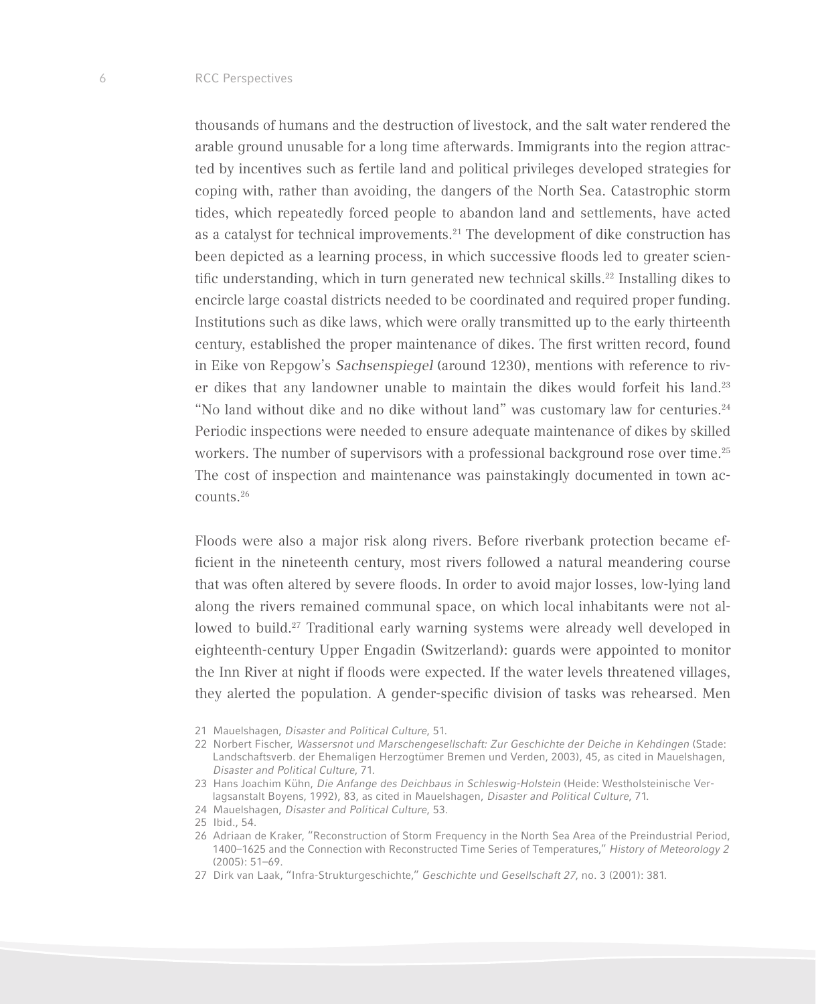thousands of humans and the destruction of livestock, and the salt water rendered the arable ground unusable for a long time afterwards. Immigrants into the region attracted by incentives such as fertile land and political privileges developed strategies for coping with, rather than avoiding, the dangers of the North Sea. Catastrophic storm tides, which repeatedly forced people to abandon land and settlements, have acted as a catalyst for technical improvements. $21$  The development of dike construction has been depicted as a learning process, in which successive floods led to greater scientific understanding, which in turn generated new technical skills. $22$  Installing dikes to encircle large coastal districts needed to be coordinated and required proper funding. Institutions such as dike laws, which were orally transmitted up to the early thirteenth century, established the proper maintenance of dikes. The first written record, found in Eike von Repgow's *Sachsenspiegel* (around 1230), mentions with reference to river dikes that any landowner unable to maintain the dikes would forfeit his land.<sup>23</sup> "No land without dike and no dike without land" was customary law for centuries.<sup>24</sup> Periodic inspections were needed to ensure adequate maintenance of dikes by skilled workers. The number of supervisors with a professional background rose over time.<sup>25</sup> The cost of inspection and maintenance was painstakingly documented in town accounts.26

Floods were also a major risk along rivers. Before riverbank protection became efficient in the nineteenth century, most rivers followed a natural meandering course that was often altered by severe floods. In order to avoid major losses, low-lying land along the rivers remained communal space, on which local inhabitants were not allowed to build.27 Traditional early warning systems were already well developed in eighteenth-century Upper Engadin (Switzerland): guards were appointed to monitor the Inn River at night if floods were expected. If the water levels threatened villages, they alerted the population. A gender-specific division of tasks was rehearsed. Men

<sup>21</sup> Mauelshagen, *Disaster and Political Culture*, 51.

<sup>22</sup> Norbert Fischer, *Wassersnot und Marschengesellschaft: Zur Geschichte der Deiche in Kehdingen* (Stade: Landschaftsverb. der Ehemaligen Herzogtümer Bremen und Verden, 2003), 45, as cited in Mauelshagen, *Disaster and Political Culture*, 71.

<sup>23</sup> Hans Joachim Kühn, *Die Anfange des Deichbaus in Schleswig-Holstein* (Heide: Westholsteinische Verlagsanstalt Boyens, 1992), 83, as cited in Mauelshagen, *Disaster and Political Culture*, 71.

<sup>24</sup> Mauelshagen, *Disaster and Political Culture*, 53.

<sup>25</sup> Ibid., 54.

<sup>26</sup> Adriaan de Kraker, "Reconstruction of Storm Frequency in the North Sea Area of the Preindustrial Period, 1400–1625 and the Connection with Reconstructed Time Series of Temperatures," *History of Meteorology 2*  (2005): 51–69.

<sup>27</sup> Dirk van Laak, "Infra-Strukturgeschichte," *Geschichte und Gesellschaft 27*, no. 3 (2001): 381.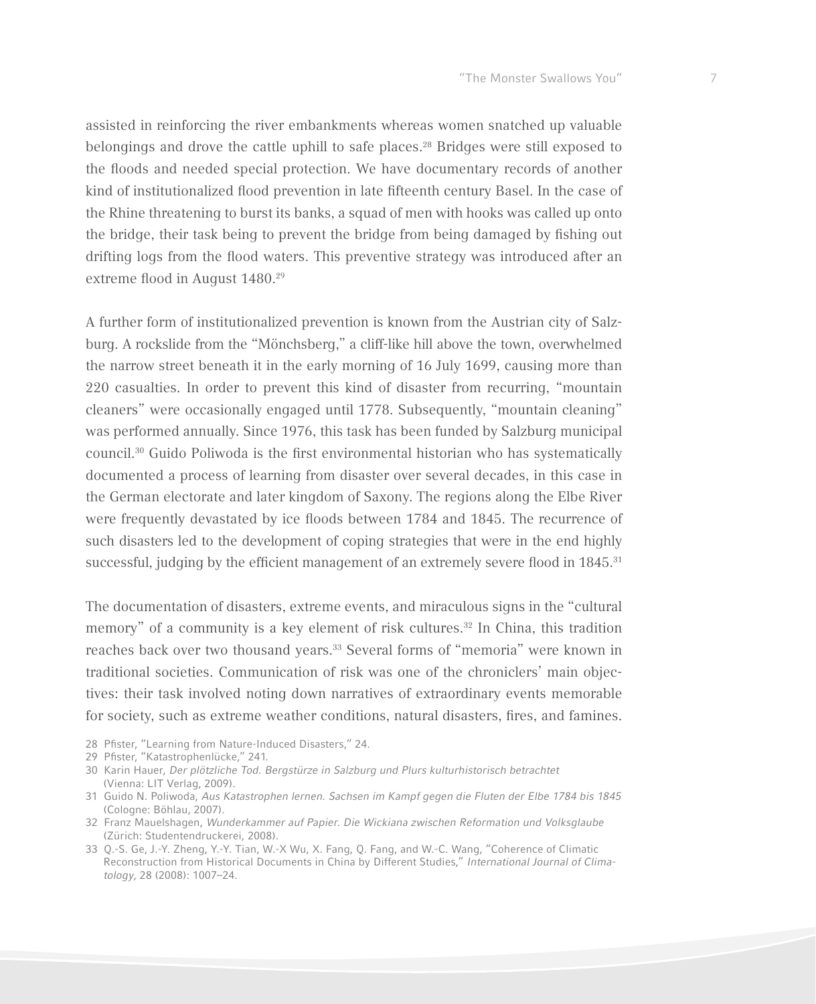

assisted in reinforcing the river embankments whereas women snatched up valuable belongings and drove the cattle uphill to safe places.<sup>28</sup> Bridges were still exposed to the floods and needed special protection. We have documentary records of another kind of institutionalized flood prevention in late fifteenth century Basel. In the case of the Rhine threatening to burst its banks, a squad of men with hooks was called up onto the bridge, their task being to prevent the bridge from being damaged by fishing out drifting logs from the flood waters. This preventive strategy was introduced after an extreme flood in August 1480.<sup>29</sup>

A further form of institutionalized prevention is known from the Austrian city of Salzburg. A rockslide from the "Mönchsberg," a cliff-like hill above the town, overwhelmed the narrow street beneath it in the early morning of 16 July 1699, causing more than 220 casualties. In order to prevent this kind of disaster from recurring, "mountain cleaners" were occasionally engaged until 1778. Subsequently, "mountain cleaning" was performed annually. Since 1976, this task has been funded by Salzburg municipal council.30 Guido Poliwoda is the first environmental historian who has systematically documented a process of learning from disaster over several decades, in this case in the German electorate and later kingdom of Saxony. The regions along the Elbe River were frequently devastated by ice floods between 1784 and 1845. The recurrence of such disasters led to the development of coping strategies that were in the end highly successful, judging by the efficient management of an extremely severe flood in 1845.<sup>31</sup>

The documentation of disasters, extreme events, and miraculous signs in the "cultural memory" of a community is a key element of risk cultures.32 In China, this tradition reaches back over two thousand years.33 Several forms of "memoria" were known in traditional societies. Communication of risk was one of the chroniclers' main objectives: their task involved noting down narratives of extraordinary events memorable for society, such as extreme weather conditions, natural disasters, fires, and famines.

- 28 Pfister, "Learning from Nature-Induced Disasters," 24.
- 29 Pfister, "Katastrophenlücke," 241.
- 30 Karin Hauer, *Der plötzliche Tod. Bergstürze in Salzburg und Plurs kulturhistorisch betrachtet* (Vienna: LIT Verlag, 2009).
- 31 Guido N. Poliwoda, *Aus Katastrophen lernen. Sachsen im Kampf gegen die Fluten der Elbe 1784 bis 1845* (Cologne: Böhlau, 2007).
- 32 Franz Mauelshagen, *Wunderkammer auf Papier. Die Wickiana zwischen Reformation und Volksglaube*  (Zürich: Studentendruckerei, 2008).
- 33 Q.-S. Ge, J.-Y. Zheng, Y.-Y. Tian, W.-X Wu, X. Fang, Q. Fang, and W.-C. Wang, "Coherence of Climatic Reconstruction from Historical Documents in China by Different Studies," *International Journal of Climatology*, 28 (2008): 1007–24.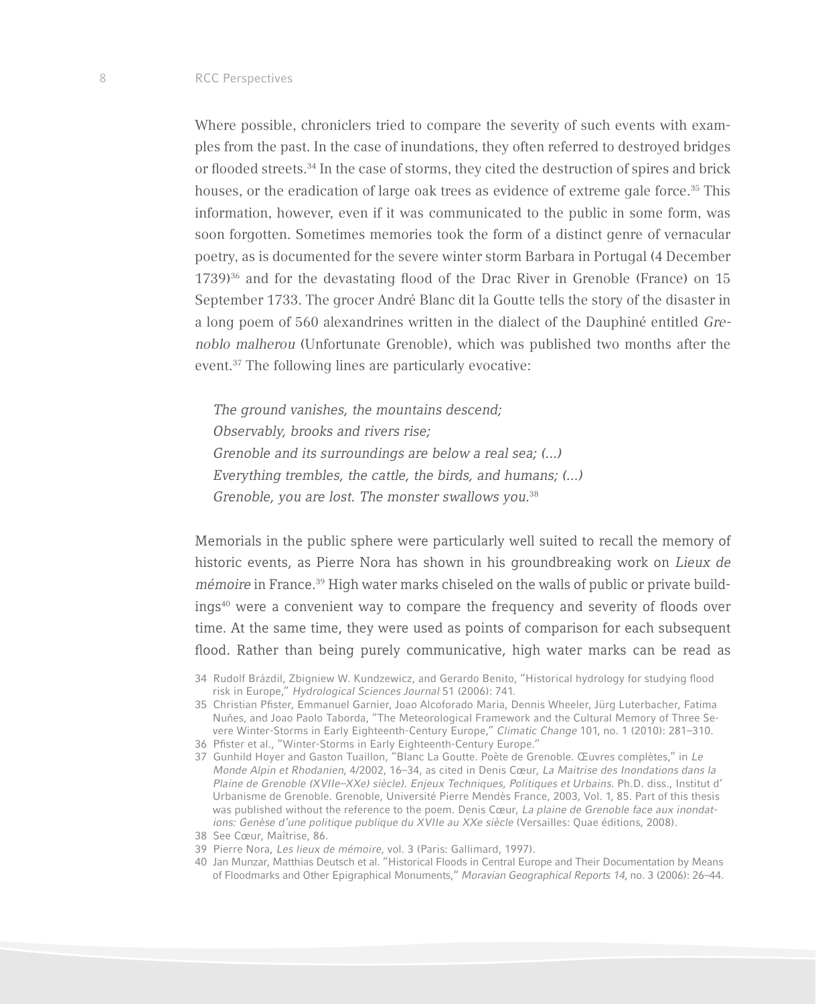Where possible, chroniclers tried to compare the severity of such events with examples from the past. In the case of inundations, they often referred to destroyed bridges or flooded streets.34 In the case of storms, they cited the destruction of spires and brick houses, or the eradication of large oak trees as evidence of extreme gale force.<sup>35</sup> This information, however, even if it was communicated to the public in some form, was soon forgotten. Sometimes memories took the form of a distinct genre of vernacular poetry, as is documented for the severe winter storm Barbara in Portugal (4 December  $1739$ <sup>36</sup> and for the devastating flood of the Drac River in Grenoble (France) on 15 September 1733. The grocer André Blanc dit la Goutte tells the story of the disaster in a long poem of 560 alexandrines written in the dialect of the Dauphiné entitled *Grenoblo malherou* (Unfortunate Grenoble), which was published two months after the event.37 The following lines are particularly evocative:

*The ground vanishes, the mountains descend; Observably, brooks and rivers rise; Grenoble and its surroundings are below a real sea; (...) Everything trembles, the cattle, the birds, and humans; (...) Grenoble, you are lost. The monster swallows you.*<sup>38</sup>

Memorials in the public sphere were particularly well suited to recall the memory of historic events, as Pierre Nora has shown in his groundbreaking work on *Lieux de mémoire* in France.<sup>39</sup> High water marks chiseled on the walls of public or private buildings<sup>40</sup> were a convenient way to compare the frequency and severity of floods over time. At the same time, they were used as points of comparison for each subsequent flood. Rather than being purely communicative, high water marks can be read as

37 Gunhild Hoyer and Gaston Tuaillon, "Blanc La Goutte. Poète de Grenoble. Œuvres complètes," in *Le Monde Alpin et Rhodanien*, 4/2002, 16–34, as cited in Denis Cœur, *La Maitrise des Inondations dans la Plaine de Grenoble (XVIIe–XXe) siècle)*. Enjeux Techniques, Politiques et Urbains. Ph.D. diss., Institut d' Urbanisme de Grenoble. Grenoble, Université Pierre Mendès France, 2003, Vol. 1, 85. Part of this thesis was published without the reference to the poem. Denis Cœur, La plaine de Grenoble face aux inondations: Genèse d'une politique publique du XVIIe au XXe siècle (Versailles: Quae éditions, 2008).

- 39 Pierre Nora, Les lieux de mémoire, vol. 3 (Paris: Gallimard, 1997).
- 40 Jan Munzar, Matthias Deutsch et al. "Historical Floods in Central Europe and Their Documentation by Means of Floodmarks and Other Epigraphical Monuments," *Moravian Geographical Reports 14*, no. 3 (2006): 26–44.

<sup>34</sup> Rudolf Brázdil, Zbigniew W. Kundzewicz, and Gerardo Benito, "Historical hydrology for studying flood risk in Europe," *Hydrological Sciences Journal* 51 (2006): 741.

<sup>35</sup> Christian Pfister, Emmanuel Garnier, Joao Alcoforado Maria, Dennis Wheeler, Jürg Luterbacher, Fatima Nuňes, and Joao Paolo Taborda, "The Meteorological Framework and the Cultural Memory of Three Severe Winter-Storms in Early Eighteenth-Century Europe," *Climatic Change* 101, no. 1 (2010): 281–310.

<sup>36</sup> Pfister et al., "Winter-Storms in Early Eighteenth-Century Europe."

<sup>38</sup> See Cœur, Maîtrise, 86.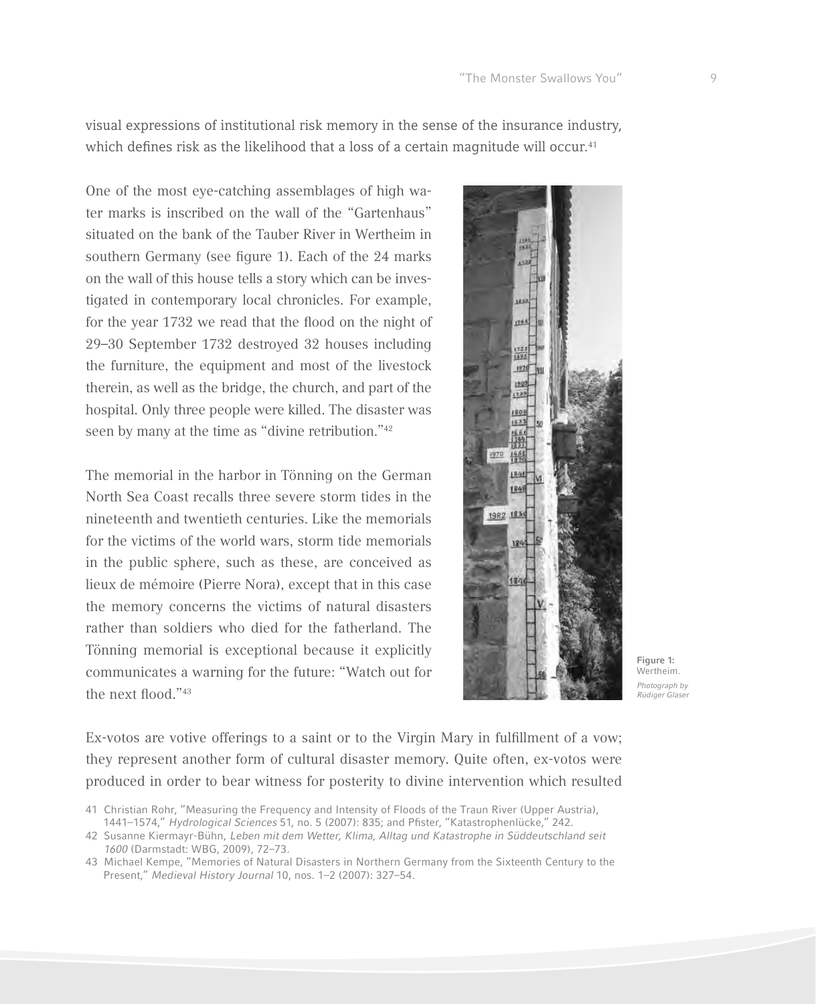visual expressions of institutional risk memory in the sense of the insurance industry, which defines risk as the likelihood that a loss of a certain magnitude will occur.<sup>41</sup>

One of the most eye-catching assemblages of high water marks is inscribed on the wall of the "Gartenhaus" situated on the bank of the Tauber River in Wertheim in southern Germany (see figure 1). Each of the 24 marks on the wall of this house tells a story which can be investigated in contemporary local chronicles. For example, for the year 1732 we read that the flood on the night of 29–30 September 1732 destroyed 32 houses including the furniture, the equipment and most of the livestock therein, as well as the bridge, the church, and part of the hospital. Only three people were killed. The disaster was seen by many at the time as "divine retribution."<sup>42</sup>

The memorial in the harbor in Tönning on the German North Sea Coast recalls three severe storm tides in the nineteenth and twentieth centuries. Like the memorials for the victims of the world wars, storm tide memorials in the public sphere, such as these, are conceived as lieux de mémoire (Pierre Nora), except that in this case the memory concerns the victims of natural disasters rather than soldiers who died for the fatherland. The Tönning memorial is exceptional because it explicitly communicates a warning for the future: "Watch out for the next flood."43



**Figure 1:**  Wertheim. *Photograph by Rüdiger Glaser*

Ex-votos are votive offerings to a saint or to the Virgin Mary in fulfillment of a vow; they represent another form of cultural disaster memory. Quite often, ex-votos were produced in order to bear witness for posterity to divine intervention which resulted

<sup>41</sup> Christian Rohr, "Measuring the Frequency and Intensity of Floods of the Traun River (Upper Austria), 1441–1574," *Hydrological Sciences* 51, no. 5 (2007): 835; and Pfister, "Katastrophenlücke," 242.

<sup>42</sup> Susanne Kiermayr-Bühn, *Leben mit dem Wetter, Klima, Alltag und Katastrophe in Süddeutschland seit 1600* (Darmstadt: WBG, 2009), 72–73.

<sup>43</sup> Michael Kempe, "Memories of Natural Disasters in Northern Germany from the Sixteenth Century to the Present," *Medieval History Journal* 10, nos. 1–2 (2007): 327–54.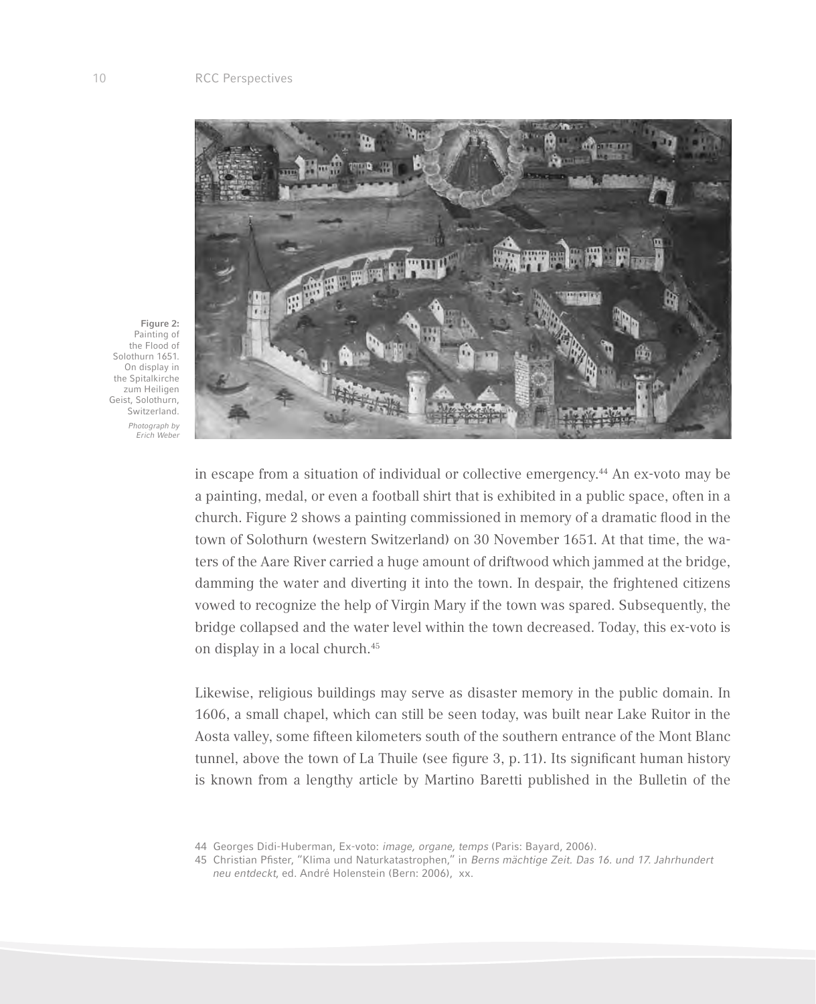

**Figure 2:**  Painting of the Flood of Solothurn 1651. On display in the Spitalkirche zum Heiligen Geist, Solothurn, Switzerland. *Photograph by Erich Weber*

> in escape from a situation of individual or collective emergency.44 An ex-voto may be a painting, medal, or even a football shirt that is exhibited in a public space, often in a church. Figure 2 shows a painting commissioned in memory of a dramatic flood in the town of Solothurn (western Switzerland) on 30 November 1651. At that time, the waters of the Aare River carried a huge amount of driftwood which jammed at the bridge, damming the water and diverting it into the town. In despair, the frightened citizens vowed to recognize the help of Virgin Mary if the town was spared. Subsequently, the bridge collapsed and the water level within the town decreased. Today, this ex-voto is on display in a local church.<sup>45</sup>

> Likewise, religious buildings may serve as disaster memory in the public domain. In 1606, a small chapel, which can still be seen today, was built near Lake Ruitor in the Aosta valley, some fifteen kilometers south of the southern entrance of the Mont Blanc tunnel, above the town of La Thuile (see figure 3, p. 11). Its significant human history is known from a lengthy article by Martino Baretti published in the Bulletin of the

- 44 Georges Didi-Huberman, Ex-voto: *image, organe, temps* (Paris: Bayard, 2006).
- 45 Christian Pfister, "Klima und Naturkatastrophen," in *Berns mächtige Zeit. Das 16. und 17. Jahrhundert neu entdeckt*, ed. André Holenstein (Bern: 2006), xx.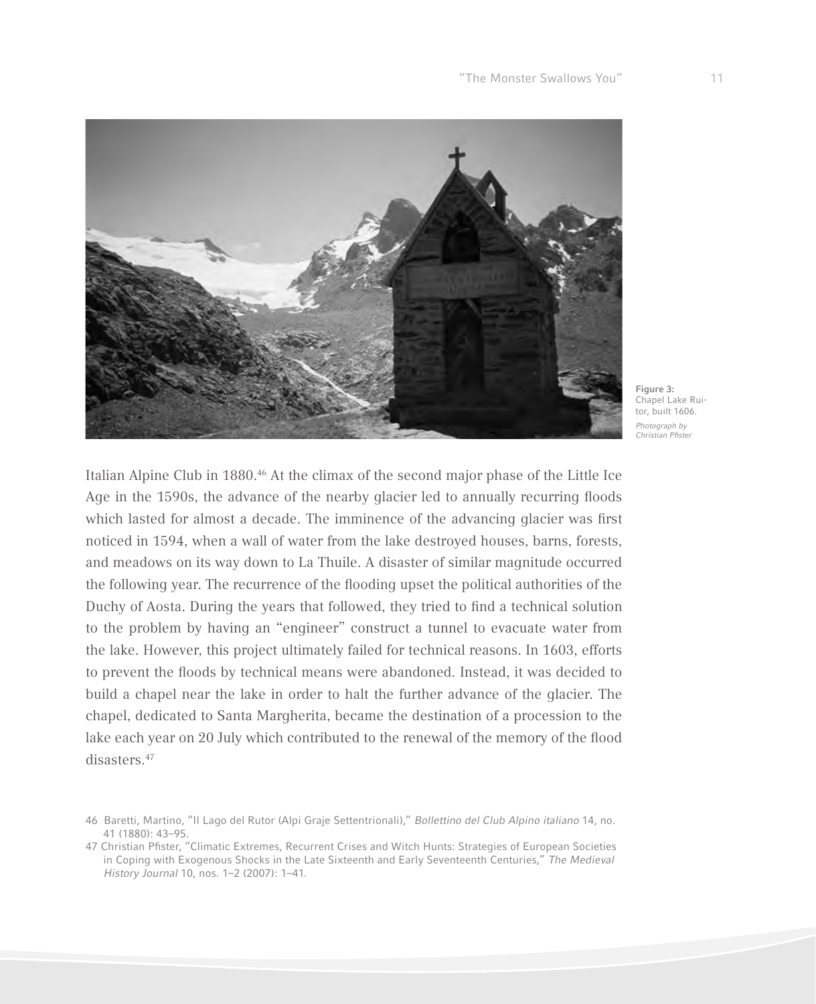

**Figure 3:**  Chapel Lake Ruitor, built 1606. *Photograph by*  Christian Pfister

Italian Alpine Club in 1880.46 At the climax of the second major phase of the Little Ice Age in the 1590s, the advance of the nearby glacier led to annually recurring floods which lasted for almost a decade. The imminence of the advancing glacier was first noticed in 1594, when a wall of water from the lake destroyed houses, barns, forests, and meadows on its way down to La Thuile. A disaster of similar magnitude occurred the following year. The recurrence of the flooding upset the political authorities of the Duchy of Aosta. During the years that followed, they tried to find a technical solution to the problem by having an "engineer" construct a tunnel to evacuate water from the lake. However, this project ultimately failed for technical reasons. In 1603, efforts to prevent the floods by technical means were abandoned. Instead, it was decided to build a chapel near the lake in order to halt the further advance of the glacier. The chapel, dedicated to Santa Margherita, became the destination of a procession to the lake each year on 20 July which contributed to the renewal of the memory of the flood disasters.47

<sup>46</sup> Baretti, Martino, "Il Lago del Rutor (Alpi Graje Settentrionali)," *Bollettino del Club Alpino italiano* 14, no. 41 (1880): 43–95.

<sup>47</sup> Christian Pfister, "Climatic Extremes, Recurrent Crises and Witch Hunts: Strategies of European Societies in Coping with Exogenous Shocks in the Late Sixteenth and Early Seventeenth Centuries," *The Medieval History Journal* 10, nos. 1–2 (2007): 1–41.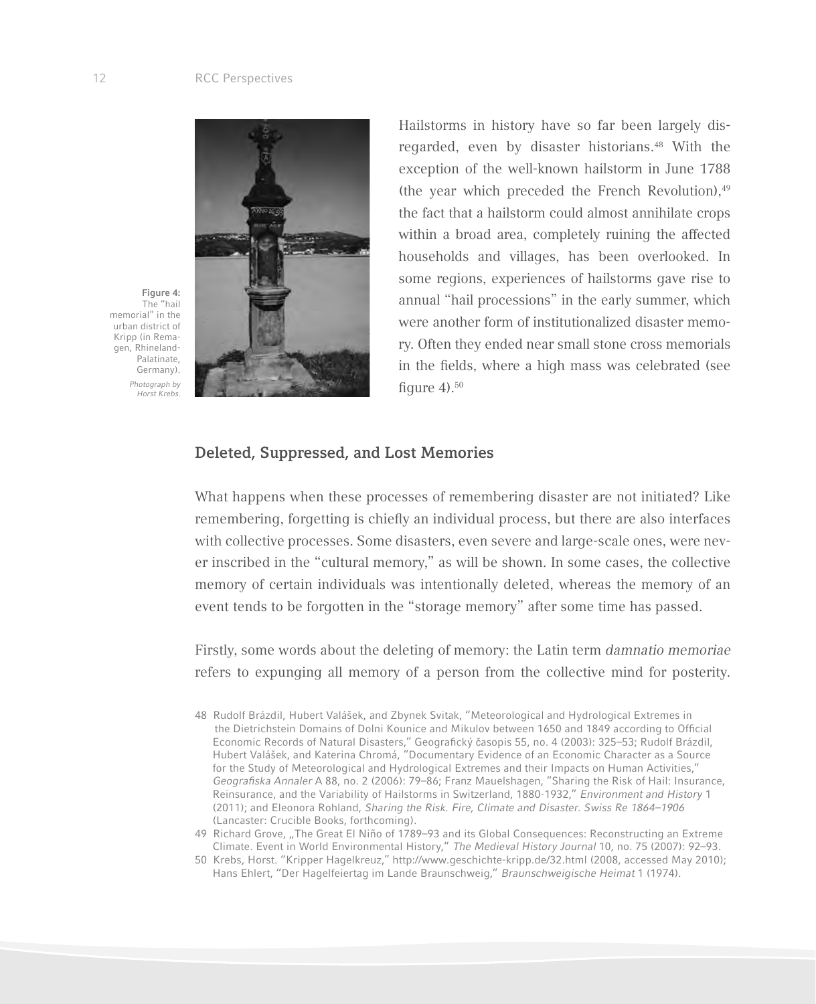

**Figure 4:**  The "hail memorial" in the urban district of Kripp (in Remagen, Rhineland-Palatinate, Germany). *Photograph by Horst Krebs.*

Hailstorms in history have so far been largely disregarded, even by disaster historians.<sup>48</sup> With the exception of the well-known hailstorm in June 1788 (the year which preceded the French Revolution), $49$ the fact that a hailstorm could almost annihilate crops within a broad area, completely ruining the affected households and villages, has been overlooked. In some regions, experiences of hailstorms gave rise to annual "hail processions" in the early summer, which were another form of institutionalized disaster memory. Often they ended near small stone cross memorials in the fields, where a high mass was celebrated (see figure  $4$ ).<sup>50</sup>

### **Deleted, Suppressed, and Lost Memories**

What happens when these processes of remembering disaster are not initiated? Like remembering, forgetting is chiefly an individual process, but there are also interfaces with collective processes. Some disasters, even severe and large-scale ones, were never inscribed in the "cultural memory," as will be shown. In some cases, the collective memory of certain individuals was intentionally deleted, whereas the memory of an event tends to be forgotten in the "storage memory" after some time has passed.

Firstly, some words about the deleting of memory: the Latin term *damnatio memoriae*  refers to expunging all memory of a person from the collective mind for posterity.

49 Richard Grove, "The Great El Niño of 1789–93 and its Global Consequences: Reconstructing an Extreme Climate. Event in World Environmental History," *The Medieval History Journal* 10, no. 75 (2007): 92–93.

<sup>48</sup> Rudolf Brázdil, Hubert Valášek, and Zbynek Svitak, "Meteorological and Hydrological Extremes in the Dietrichstein Domains of Dolni Kounice and Mikulov between 1650 and 1849 according to Official Economic Records of Natural Disasters," Geografický časopis 55, no. 4 (2003): 325–53; Rudolf Brázdil, Hubert Valášek, and Katerina Chromá, "Documentary Evidence of an Economic Character as a Source for the Study of Meteorological and Hydrological Extremes and their Impacts on Human Activities," Geografiska Annaler A 88, no. 2 (2006): 79–86; Franz Mauelshagen, "Sharing the Risk of Hail: Insurance, Reinsurance, and the Variability of Hailstorms in Switzerland, 1880-1932," *Environment and History* 1 (2011); and Eleonora Rohland, *Sharing the Risk. Fire, Climate and Disaster. Swiss Re 1864–1906* (Lancaster: Crucible Books, forthcoming).

<sup>50</sup> Krebs, Horst. "Kripper Hagelkreuz," http://www.geschichte-kripp.de/32.html (2008, accessed May 2010); Hans Ehlert, "Der Hagelfeiertag im Lande Braunschweig," *Braunschweigische Heimat* 1 (1974).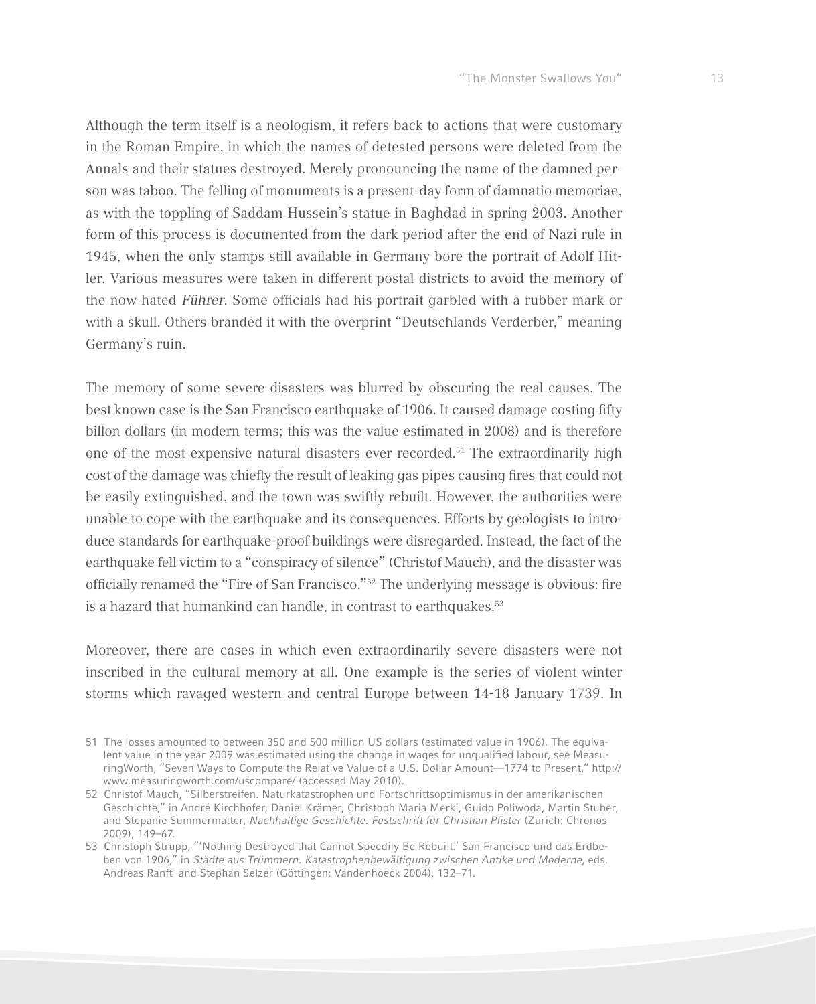Although the term itself is a neologism, it refers back to actions that were customary in the Roman Empire, in which the names of detested persons were deleted from the Annals and their statues destroyed. Merely pronouncing the name of the damned person was taboo. The felling of monuments is a present-day form of damnatio memoriae, as with the toppling of Saddam Hussein's statue in Baghdad in spring 2003. Another form of this process is documented from the dark period after the end of Nazi rule in 1945, when the only stamps still available in Germany bore the portrait of Adolf Hitler. Various measures were taken in different postal districts to avoid the memory of the now hated *Führer*. Some officials had his portrait garbled with a rubber mark or with a skull. Others branded it with the overprint "Deutschlands Verderber," meaning Germany's ruin.

The memory of some severe disasters was blurred by obscuring the real causes. The best known case is the San Francisco earthquake of 1906. It caused damage costing fifty billon dollars (in modern terms; this was the value estimated in 2008) and is therefore one of the most expensive natural disasters ever recorded.51 The extraordinarily high cost of the damage was chiefly the result of leaking gas pipes causing fires that could not be easily extinguished, and the town was swiftly rebuilt. However, the authorities were unable to cope with the earthquake and its consequences. Efforts by geologists to introduce standards for earthquake-proof buildings were disregarded. Instead, the fact of the earthquake fell victim to a "conspiracy of silence" (Christof Mauch), and the disaster was officially renamed the "Fire of San Francisco."52 The underlying message is obvious: fire is a hazard that humankind can handle, in contrast to earthquakes.<sup>53</sup>

Moreover, there are cases in which even extraordinarily severe disasters were not inscribed in the cultural memory at all. One example is the series of violent winter storms which ravaged western and central Europe between 14-18 January 1739. In

<sup>51</sup> The losses amounted to between 350 and 500 million US dollars (estimated value in 1906). The equivalent value in the year 2009 was estimated using the change in wages for unqualified labour, see MeasuringWorth, "Seven Ways to Compute the Relative Value of a U.S. Dollar Amount—1774 to Present," http:// www.measuringworth.com/uscompare/ (accessed May 2010).

<sup>52</sup> Christof Mauch, "Silberstreifen. Naturkatastrophen und Fortschrittsoptimismus in der amerikanischen Geschichte," in André Kirchhofer, Daniel Krämer, Christoph Maria Merki, Guido Poliwoda, Martin Stuber, and Stepanie Summermatter, Nachhaltige Geschichte. Festschrift für Christian Pfister (Zurich: Chronos 2009), 149–67.

<sup>53</sup> Christoph Strupp, "'Nothing Destroyed that Cannot Speedily Be Rebuilt.' San Francisco und das Erdbeben von 1906," in *Städte aus Trümmern. Katastrophenbewältigung zwischen Antike und Moderne*, eds. Andreas Ranft and Stephan Selzer (Göttingen: Vandenhoeck 2004), 132–71.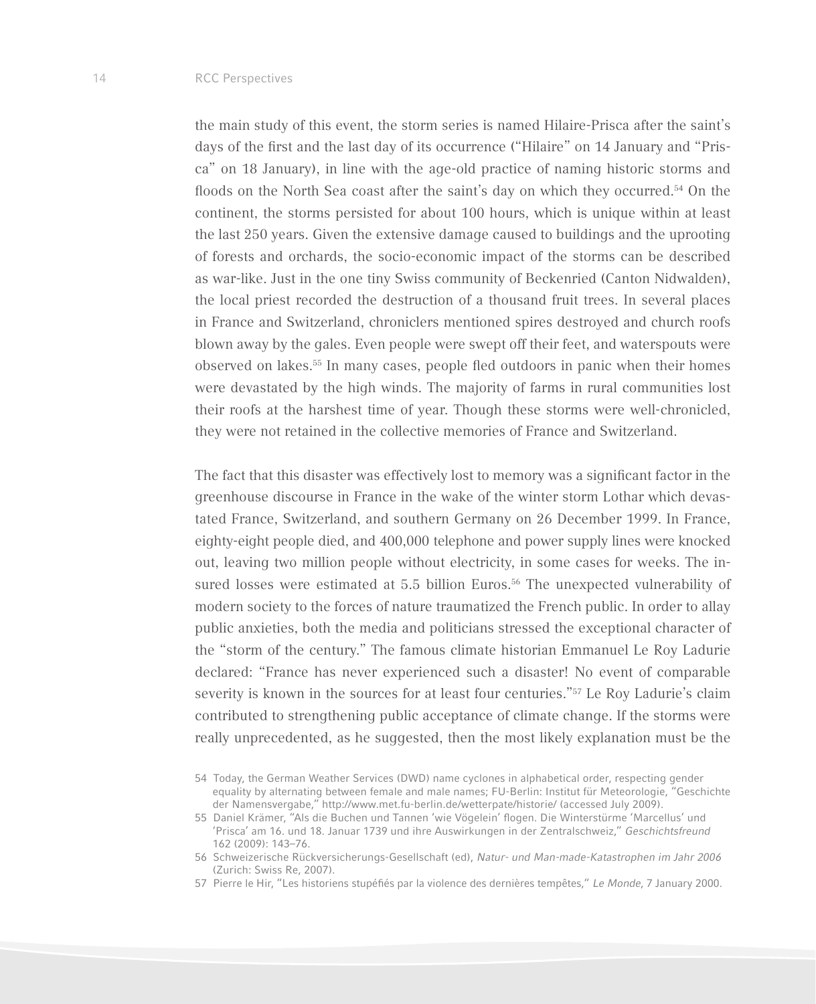the main study of this event, the storm series is named Hilaire-Prisca after the saint's days of the first and the last day of its occurrence ("Hilaire" on 14 January and "Prisca" on 18 January), in line with the age-old practice of naming historic storms and floods on the North Sea coast after the saint's day on which they occurred.54 On the continent, the storms persisted for about 100 hours, which is unique within at least the last 250 years. Given the extensive damage caused to buildings and the uprooting of forests and orchards, the socio-economic impact of the storms can be described as war-like. Just in the one tiny Swiss community of Beckenried (Canton Nidwalden), the local priest recorded the destruction of a thousand fruit trees. In several places in France and Switzerland, chroniclers mentioned spires destroyed and church roofs blown away by the gales. Even people were swept off their feet, and waterspouts were observed on lakes.55 In many cases, people fled outdoors in panic when their homes were devastated by the high winds. The majority of farms in rural communities lost their roofs at the harshest time of year. Though these storms were well-chronicled, they were not retained in the collective memories of France and Switzerland.

The fact that this disaster was effectively lost to memory was a significant factor in the greenhouse discourse in France in the wake of the winter storm Lothar which devastated France, Switzerland, and southern Germany on 26 December 1999. In France, eighty-eight people died, and 400,000 telephone and power supply lines were knocked out, leaving two million people without electricity, in some cases for weeks. The insured losses were estimated at 5.5 billion Euros.<sup>56</sup> The unexpected vulnerability of modern society to the forces of nature traumatized the French public. In order to allay public anxieties, both the media and politicians stressed the exceptional character of the "storm of the century." The famous climate historian Emmanuel Le Roy Ladurie declared: "France has never experienced such a disaster! No event of comparable severity is known in the sources for at least four centuries."57 Le Roy Ladurie's claim contributed to strengthening public acceptance of climate change. If the storms were really unprecedented, as he suggested, then the most likely explanation must be the

<sup>54</sup> Today, the German Weather Services (DWD) name cyclones in alphabetical order, respecting gender equality by alternating between female and male names; FU-Berlin: Institut für Meteorologie, "Geschichte der Namensvergabe," http://www.met.fu-berlin.de/wetterpate/historie/ (accessed July 2009).

<sup>55</sup> Daniel Krämer, "Als die Buchen und Tannen 'wie Vögelein' flogen. Die Winterstürme 'Marcellus' und 'Prisca' am 16. und 18. Januar 1739 und ihre Auswirkungen in der Zentralschweiz," *Geschichtsfreund* 162 (2009): 143–76.

<sup>56</sup> Schweizerische Rückversicherungs-Gesellschaft (ed), *Natur- und Man-made-Katastrophen im Jahr 2006* (Zurich: Swiss Re, 2007).

<sup>57</sup> Pierre le Hir, "Les historiens stupéfiés par la violence des dernières tempêtes," *Le Monde*, 7 January 2000.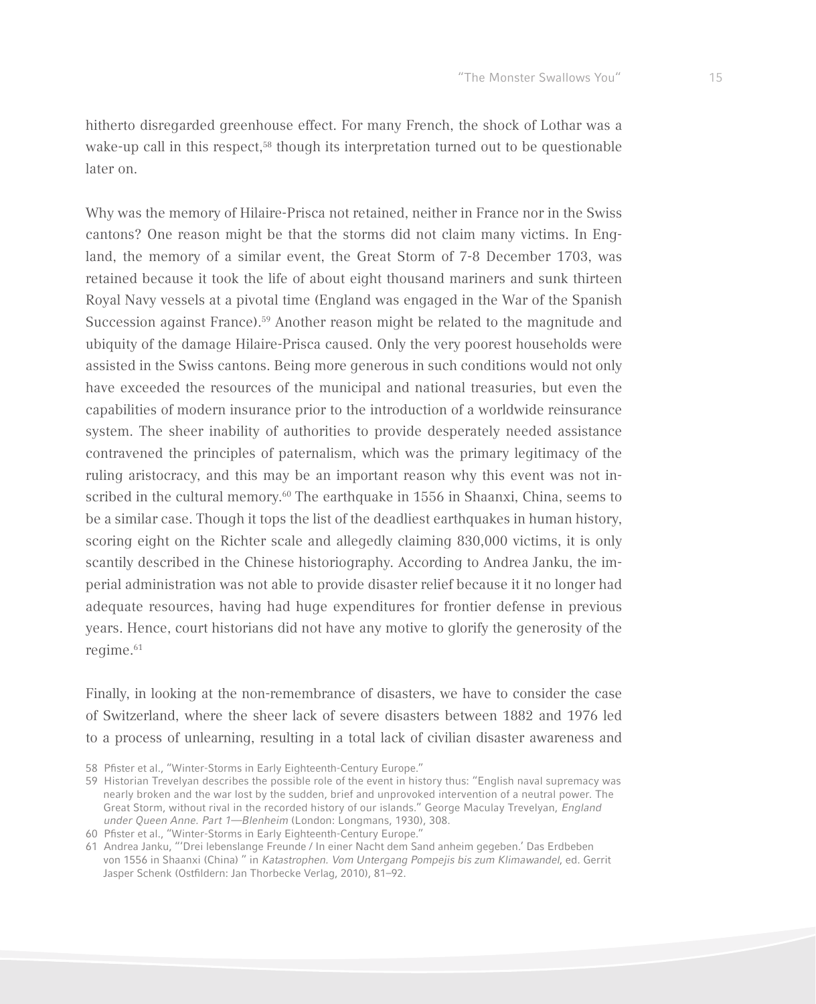hitherto disregarded greenhouse effect. For many French, the shock of Lothar was a wake-up call in this respect,<sup>58</sup> though its interpretation turned out to be questionable later on.

Why was the memory of Hilaire-Prisca not retained, neither in France nor in the Swiss cantons? One reason might be that the storms did not claim many victims. In England, the memory of a similar event, the Great Storm of 7-8 December 1703, was retained because it took the life of about eight thousand mariners and sunk thirteen Royal Navy vessels at a pivotal time (England was engaged in the War of the Spanish Succession against France).59 Another reason might be related to the magnitude and ubiquity of the damage Hilaire-Prisca caused. Only the very poorest households were assisted in the Swiss cantons. Being more generous in such conditions would not only have exceeded the resources of the municipal and national treasuries, but even the capabilities of modern insurance prior to the introduction of a worldwide reinsurance system. The sheer inability of authorities to provide desperately needed assistance contravened the principles of paternalism, which was the primary legitimacy of the ruling aristocracy, and this may be an important reason why this event was not inscribed in the cultural memory.<sup>60</sup> The earthquake in 1556 in Shaanxi, China, seems to be a similar case. Though it tops the list of the deadliest earthquakes in human history, scoring eight on the Richter scale and allegedly claiming 830,000 victims, it is only scantily described in the Chinese historiography. According to Andrea Janku, the imperial administration was not able to provide disaster relief because it it no longer had adequate resources, having had huge expenditures for frontier defense in previous years. Hence, court historians did not have any motive to glorify the generosity of the regime.<sup>61</sup>

Finally, in looking at the non-remembrance of disasters, we have to consider the case of Switzerland, where the sheer lack of severe disasters between 1882 and 1976 led to a process of unlearning, resulting in a total lack of civilian disaster awareness and

- 58 Pfister et al., "Winter-Storms in Early Eighteenth-Century Europe."
- 59 Historian Trevelyan describes the possible role of the event in history thus: "English naval supremacy was nearly broken and the war lost by the sudden, brief and unprovoked intervention of a neutral power. The Great Storm, without rival in the recorded history of our islands." George Maculay Trevelyan, *England under Queen Anne. Part 1—Blenheim* (London: Longmans, 1930), 308.
- 60 Pfister et al., "Winter-Storms in Early Eighteenth-Century Europe."

<sup>61</sup> Andrea Janku, "'Drei lebenslange Freunde / In einer Nacht dem Sand anheim gegeben.' Das Erdbeben von 1556 in Shaanxi (China) " in *Katastrophen. Vom Untergang Pompejis bis zum Klimawandel*, ed. Gerrit Jasper Schenk (Ostfildern: Jan Thorbecke Verlag, 2010), 81–92.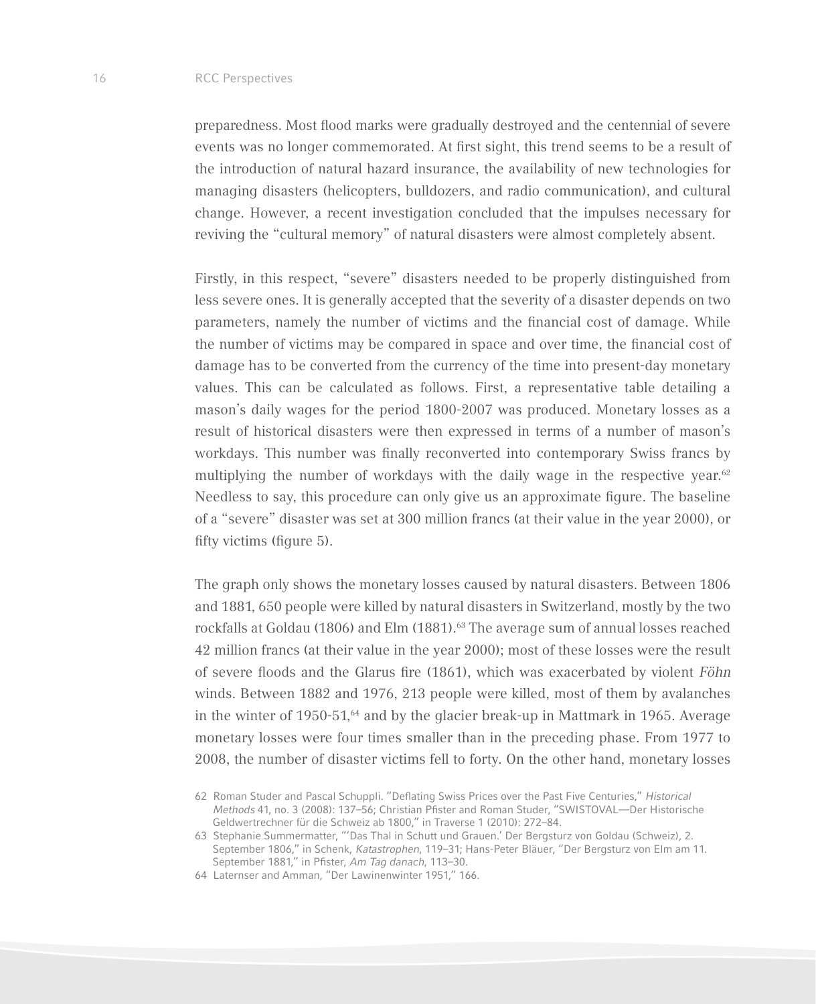#### 16 RCC Perspectives

preparedness. Most flood marks were gradually destroyed and the centennial of severe events was no longer commemorated. At first sight, this trend seems to be a result of the introduction of natural hazard insurance, the availability of new technologies for managing disasters (helicopters, bulldozers, and radio communication), and cultural change. However, a recent investigation concluded that the impulses necessary for reviving the "cultural memory" of natural disasters were almost completely absent.

Firstly, in this respect, "severe" disasters needed to be properly distinguished from less severe ones. It is generally accepted that the severity of a disaster depends on two parameters, namely the number of victims and the financial cost of damage. While the number of victims may be compared in space and over time, the financial cost of damage has to be converted from the currency of the time into present-day monetary values. This can be calculated as follows. First, a representative table detailing a mason's daily wages for the period 1800-2007 was produced. Monetary losses as a result of historical disasters were then expressed in terms of a number of mason's workdays. This number was finally reconverted into contemporary Swiss francs by multiplying the number of workdays with the daily wage in the respective year. $62$ Needless to say, this procedure can only give us an approximate figure. The baseline of a "severe" disaster was set at 300 million francs (at their value in the year 2000), or fifty victims (figure 5).

The graph only shows the monetary losses caused by natural disasters. Between 1806 and 1881, 650 people were killed by natural disasters in Switzerland, mostly by the two rockfalls at Goldau (1806) and Elm (1881).<sup>63</sup> The average sum of annual losses reached 42 million francs (at their value in the year 2000); most of these losses were the result of severe floods and the Glarus fire (1861), which was exacerbated by violent *Föhn*  winds. Between 1882 and 1976, 213 people were killed, most of them by avalanches in the winter of  $1950-51$ ,  $64$  and by the glacier break-up in Mattmark in 1965. Average monetary losses were four times smaller than in the preceding phase. From 1977 to 2008, the number of disaster victims fell to forty. On the other hand, monetary losses

<sup>62</sup> Roman Studer and Pascal Schuppli. "Deflating Swiss Prices over the Past Five Centuries," *Historical Methods* 41, no. 3 (2008): 137–56; Christian Pfister and Roman Studer, "SWISTOVAL—Der Historische Geldwertrechner für die Schweiz ab 1800," in Traverse 1 (2010): 272–84.

<sup>63</sup> Stephanie Summermatter, "'Das Thal in Schutt und Grauen.' Der Bergsturz von Goldau (Schweiz), 2. September 1806," in Schenk, *Katastrophen*, 119–31; Hans-Peter Bläuer, "Der Bergsturz von Elm am 11. September 1881," in Pfister, *Am Tag danach*, 113–30.

<sup>64</sup> Laternser and Amman, "Der Lawinenwinter 1951," 166.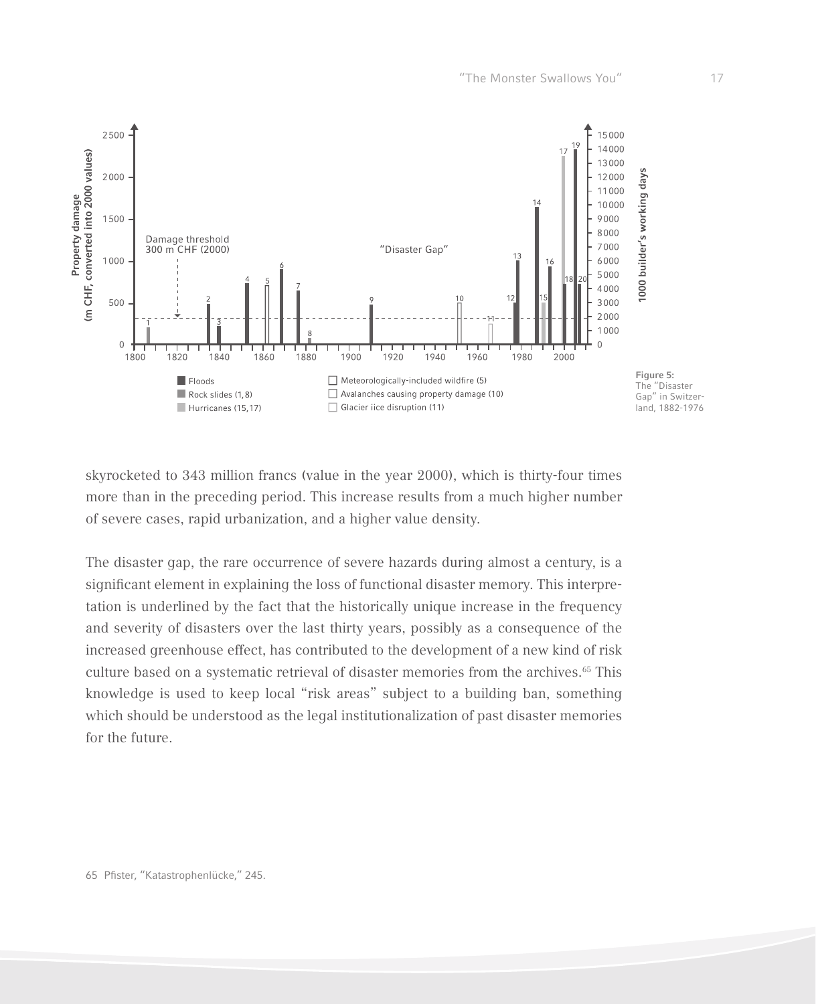

skyrocketed to 343 million francs (value in the year 2000), which is thirty-four times more than in the preceding period. This increase results from a much higher number of severe cases, rapid urbanization, and a higher value density.

The disaster gap, the rare occurrence of severe hazards during almost a century, is a significant element in explaining the loss of functional disaster memory. This interpretation is underlined by the fact that the historically unique increase in the frequency and severity of disasters over the last thirty years, possibly as a consequence of the increased greenhouse effect, has contributed to the development of a new kind of risk culture based on a systematic retrieval of disaster memories from the archives.<sup>65</sup> This knowledge is used to keep local "risk areas" subject to a building ban, something which should be understood as the legal institutionalization of past disaster memories for the future.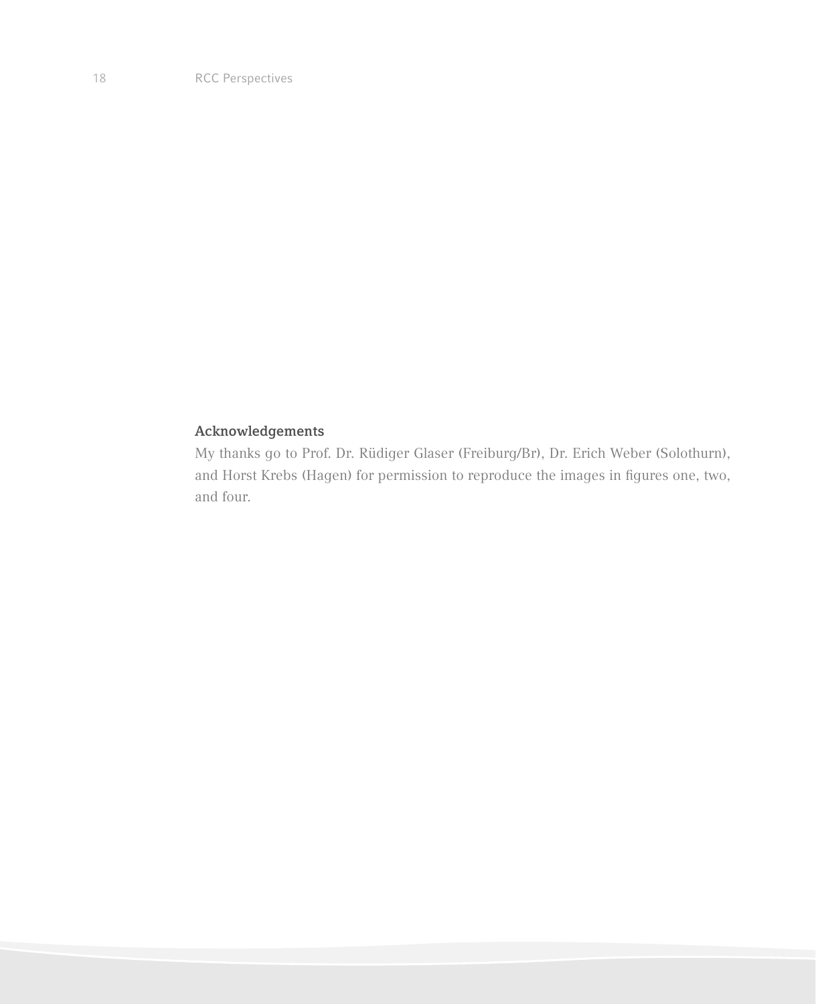## **Acknowledgements**

My thanks go to Prof. Dr. Rüdiger Glaser (Freiburg/Br), Dr. Erich Weber (Solothurn), and Horst Krebs (Hagen) for permission to reproduce the images in figures one, two, and four.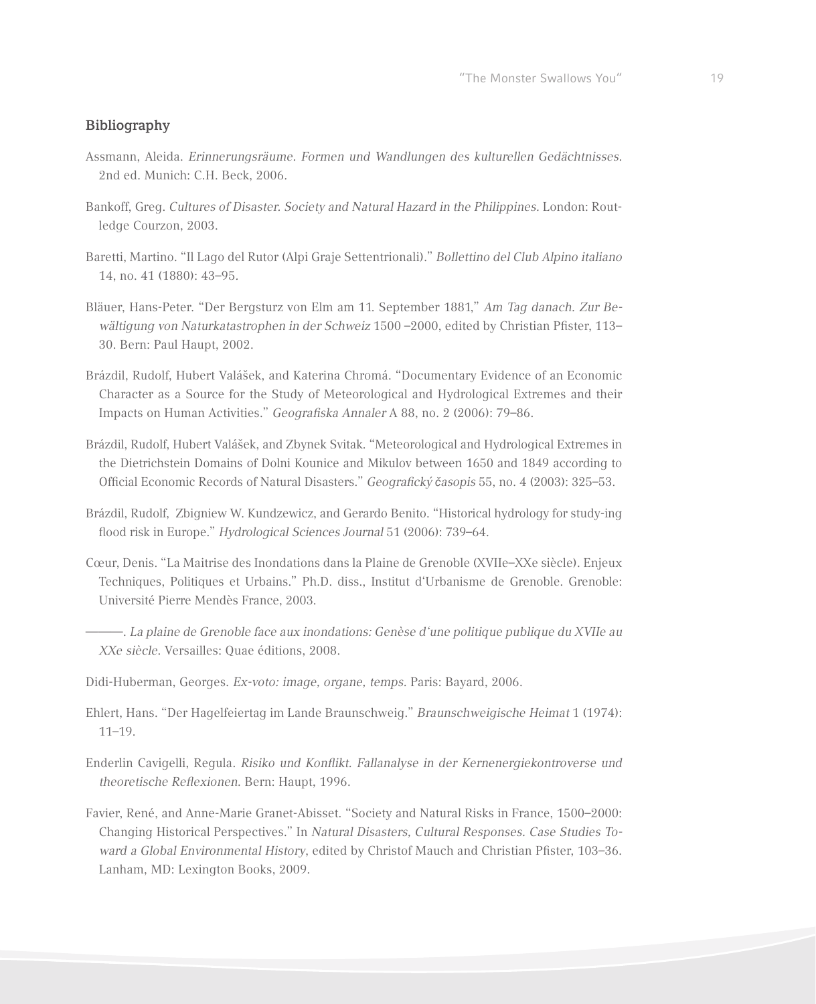#### **Bibliography**

- Assmann, Aleida. *Erinnerungsräume. Formen und Wandlungen des kulturellen Gedächtnisses.*  2nd ed. Munich: C.H. Beck, 2006*.*
- Bankoff, Greg. *Cultures of Disaster. Society and Natural Hazard in the Philippines.* London: Routledge Courzon, 2003.
- Baretti, Martino. "Il Lago del Rutor (Alpi Graje Settentrionali)." *Bollettino del Club Alpino italiano*  14, no. 41 (1880): 43–95*.*
- Bläuer, Hans-Peter. "Der Bergsturz von Elm am 11. September 1881," *Am Tag danach. Zur Bewältigung von Naturkatastrophen in der Schweiz* 1500 –2000, edited by Christian Pfister, 113– 30. Bern: Paul Haupt, 2002.
- Brázdil, Rudolf, Hubert Valášek, and Katerina Chromá. "Documentary Evidence of an Economic Character as a Source for the Study of Meteorological and Hydrological Extremes and their Impacts on Human Activities." *Geografiska Annaler* A 88, no. 2 (2006): 79–86.
- Brázdil, Rudolf, Hubert Valášek, and Zbynek Svitak. "Meteorological and Hydrological Extremes in the Dietrichstein Domains of Dolni Kounice and Mikulov between 1650 and 1849 according to Official Economic Records of Natural Disasters." *Geografický časopis* 55, no. 4 (2003): 325–53.
- Brázdil, Rudolf, Zbigniew W. Kundzewicz, and Gerardo Benito. "Historical hydrology for study-ing flood risk in Europe." *Hydrological Sciences Journal* 51 (2006): 739–64.
- Cœur, Denis. "La Maitrise des Inondations dans la Plaine de Grenoble (XVIIe–XXe siècle). Enjeux Techniques, Politiques et Urbains." Ph.D. diss., Institut d'Urbanisme de Grenoble. Grenoble: Université Pierre Mendès France, 2003.
- ———. *La plaine de Grenoble face aux inondations: Genèse d'une politique publique du XVIIe au XXe siècle*. Versailles: Quae éditions, 2008.
- Didi-Huberman, Georges. *Ex-voto: image, organe, temps.* Paris: Bayard, 2006.
- Ehlert, Hans. "Der Hagelfeiertag im Lande Braunschweig." *Braunschweigische Heimat* 1 (1974): 11–19.
- Enderlin Cavigelli, Regula. *Risiko und Konflikt. Fallanalyse in der Kernenergiekontroverse und theoretische Reflexionen*. Bern: Haupt, 1996.
- Favier, René, and Anne-Marie Granet-Abisset. "Society and Natural Risks in France, 1500–2000: Changing Historical Perspectives." In *Natural Disasters, Cultural Responses. Case Studies Toward a Global Environmental History*, edited by Christof Mauch and Christian Pfister, 103–36. Lanham, MD: Lexington Books, 2009.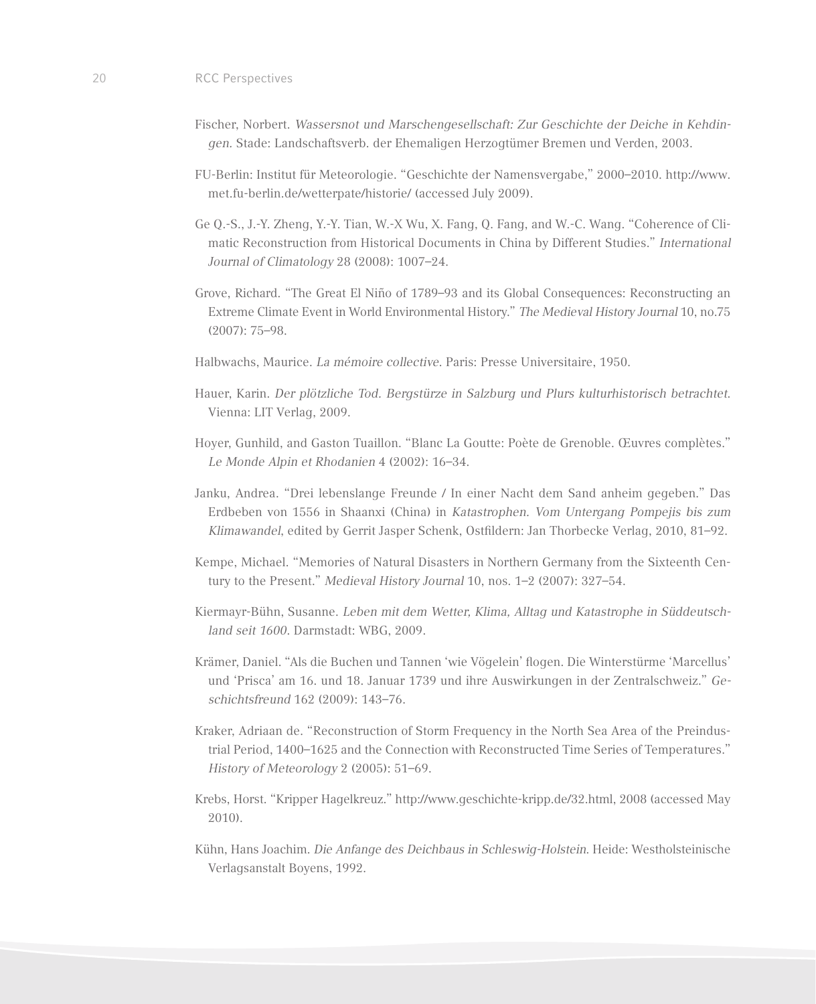- Fischer, Norbert. *Wassersnot und Marschengesellschaft: Zur Geschichte der Deiche in Kehdingen.* Stade: Landschaftsverb. der Ehemaligen Herzogtümer Bremen und Verden, 2003.
- FU-Berlin: Institut für Meteorologie. "Geschichte der Namensvergabe," 2000–2010. http://www. met.fu-berlin.de/wetterpate/historie/ (accessed July 2009).
- Ge Q.-S., J.-Y. Zheng, Y.-Y. Tian, W.-X Wu, X. Fang, Q. Fang, and W.-C. Wang. "Coherence of Climatic Reconstruction from Historical Documents in China by Different Studies." *International Journal of Climatology* 28 (2008): 1007–24.
- Grove, Richard. "The Great El Niño of 1789–93 and its Global Consequences: Reconstructing an Extreme Climate Event in World Environmental History." *The Medieval History Journal* 10, no.75 (2007): 75–98.
- Halbwachs, Maurice. *La mémoire collective*. Paris: Presse Universitaire, 1950.
- Hauer, Karin. *Der plötzliche Tod. Bergstürze in Salzburg und Plurs kulturhistorisch betrachtet*. Vienna: LIT Verlag, 2009.
- Hoyer, Gunhild, and Gaston Tuaillon. "Blanc La Goutte: Poète de Grenoble. Œuvres complètes." *Le Monde Alpin et Rhodanien* 4 (2002): 16–34.
- Janku, Andrea. "Drei lebenslange Freunde / In einer Nacht dem Sand anheim gegeben." Das Erdbeben von 1556 in Shaanxi (China) in *Katastrophen. Vom Untergang Pompejis bis zum Klimawandel*, edited by Gerrit Jasper Schenk, Ostfildern: Jan Thorbecke Verlag, 2010, 81–92.
- Kempe, Michael. "Memories of Natural Disasters in Northern Germany from the Sixteenth Century to the Present." *Medieval History Journal* 10, nos. 1–2 (2007): 327–54.
- Kiermayr-Bühn, Susanne. *Leben mit dem Wetter, Klima, Alltag und Katastrophe in Süddeutschland seit 1600*. Darmstadt: WBG, 2009.
- Krämer, Daniel. "Als die Buchen und Tannen 'wie Vögelein' flogen. Die Winterstürme 'Marcellus' und 'Prisca' am 16. und 18. Januar 1739 und ihre Auswirkungen in der Zentralschweiz." *Geschichtsfreund* 162 (2009): 143–76.
- Kraker, Adriaan de. "Reconstruction of Storm Frequency in the North Sea Area of the Preindustrial Period, 1400–1625 and the Connection with Reconstructed Time Series of Temperatures." *History of Meteorology* 2 (2005): 51–69.
- Krebs, Horst. "Kripper Hagelkreuz." http://www.geschichte-kripp.de/32.html, 2008 (accessed May 2010).
- Kühn, Hans Joachim. *Die Anfange des Deichbaus in Schleswig-Holstein*. Heide: Westholsteinische Verlagsanstalt Boyens, 1992.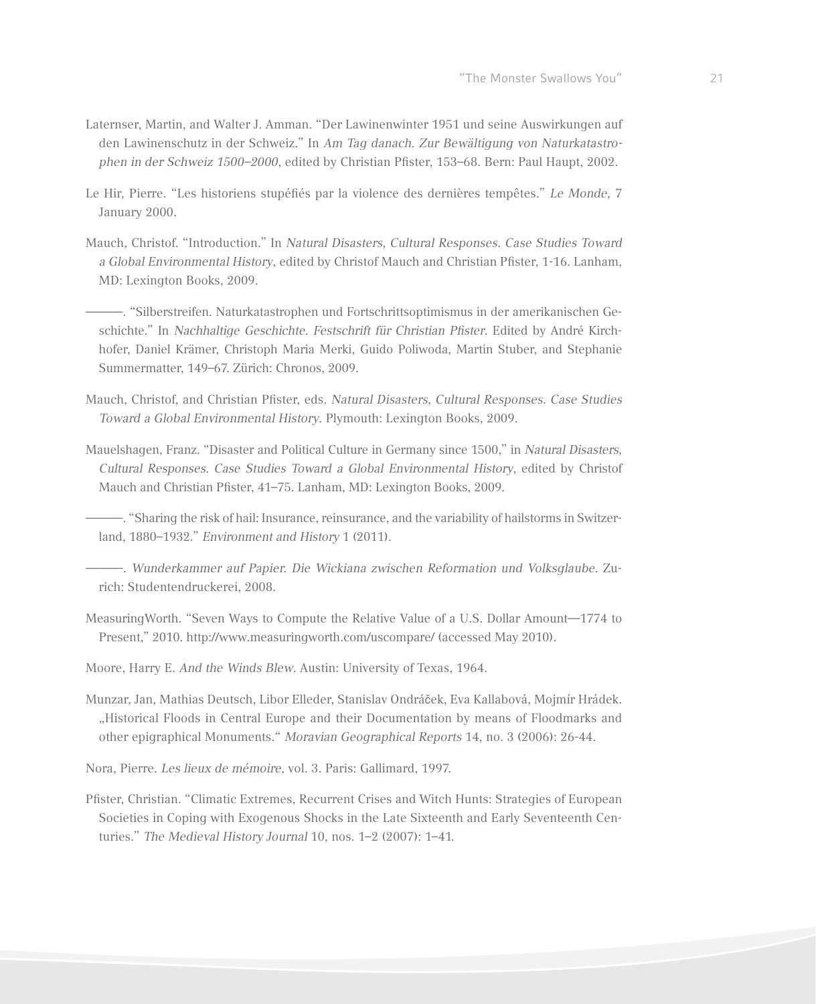- Laternser, Martin, and Walter J. Amman. "Der Lawinenwinter 1951 und seine Auswirkungen auf den Lawinenschutz in der Schweiz." In *Am Tag danach*. *Zur Bewältigung von Naturkatastrophen in der Schweiz 1500–2000*, edited by Christian Pfister, 153–68. Bern: Paul Haupt, 2002.
- Le Hir, Pierre. "Les historiens stupéfiés par la violence des dernières tempêtes." *Le Monde*, 7 January 2000.
- Mauch, Christof. "Introduction." In *Natural Disasters, Cultural Responses. Case Studies Toward a Global Environmental History*, edited by Christof Mauch and Christian Pfister, 1-16. Lanham, MD: Lexington Books, 2009.

———. "Silberstreifen. Naturkatastrophen und Fortschrittsoptimismus in der amerikanischen Geschichte." In *Nachhaltige Geschichte. Festschrift für Christian Pfister*. Edited by André Kirchhofer, Daniel Krämer, Christoph Maria Merki, Guido Poliwoda, Martin Stuber, and Stephanie Summermatter, 149–67. Zürich: Chronos, 2009.

- Mauch, Christof, and Christian Pfister, eds. *Natural Disasters, Cultural Responses. Case Studies Toward a Global Environmental History*. Plymouth: Lexington Books, 2009.
- Mauelshagen, Franz. "Disaster and Political Culture in Germany since 1500," in *Natural Disasters, Cultural Responses. Case Studies Toward a Global Environmental History*, edited by Christof Mauch and Christian Pfister, 41–75. Lanham, MD: Lexington Books, 2009.

———. "Sharing the risk of hail: Insurance, reinsurance, and the variability of hailstorms in Switzerland, 1880–1932." *Environment and History* 1 (2011).

———. *Wunderkammer auf Papier. Die Wickiana zwischen Reformation und Volksglaube*. Zurich: Studentendruckerei, 2008.

MeasuringWorth. "Seven Ways to Compute the Relative Value of a U.S. Dollar Amount—1774 to Present," 2010. http://www.measuringworth.com/uscompare/ (accessed May 2010).

Moore, Harry E. *And the Winds Blew*. Austin: University of Texas, 1964.

Munzar, Jan, Mathias Deutsch, Libor Elleder, Stanislav Ondráček, Eva Kallabová, Mojmír Hrádek. "Historical Floods in Central Europe and their Documentation by means of Floodmarks and other epigraphical Monuments." *Moravian Geographical Reports* 14, no. 3 (2006): 26-44.

Nora, Pierre. *Les lieux de mémoire*, vol. 3. Paris: Gallimard, 1997.

Pfister, Christian. "Climatic Extremes, Recurrent Crises and Witch Hunts: Strategies of European Societies in Coping with Exogenous Shocks in the Late Sixteenth and Early Seventeenth Centuries." *The Medieval History Journal* 10, nos. 1–2 (2007): 1–41.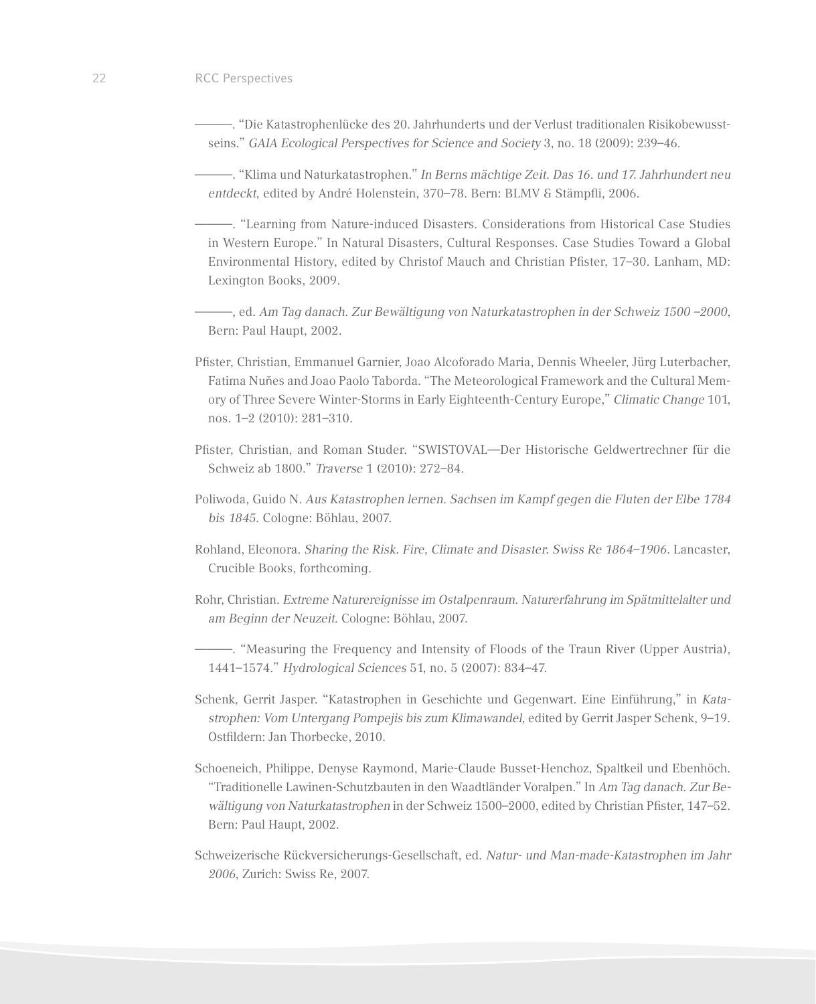- ———. "Die Katastrophenlücke des 20. Jahrhunderts und der Verlust traditionalen Risikobewusstseins." *GAIA Ecological Perspectives for Science and Society* 3, no. 18 (2009): 239–46.
- ———. "Klima und Naturkatastrophen." *In Berns mächtige Zeit. Das 16. und 17. Jahrhundert neu entdeckt*, edited by André Holenstein, 370–78. Bern: BLMV & Stämpfli, 2006.
- ———. "Learning from Nature-induced Disasters. Considerations from Historical Case Studies in Western Europe." In Natural Disasters, Cultural Responses. Case Studies Toward a Global Environmental History, edited by Christof Mauch and Christian Pfister, 17–30. Lanham, MD: Lexington Books, 2009.
- ———, ed. *Am Tag danach. Zur Bewältigung von Naturkatastrophen in der Schweiz 1500 –2000*, Bern: Paul Haupt, 2002.
- Pfister, Christian, Emmanuel Garnier, Joao Alcoforado Maria, Dennis Wheeler, Jürg Luterbacher, Fatima Nuňes and Joao Paolo Taborda. "The Meteorological Framework and the Cultural Memory of Three Severe Winter-Storms in Early Eighteenth-Century Europe," *Climatic Change* 101, nos. 1–2 (2010): 281–310.
- Pfister, Christian, and Roman Studer. "SWISTOVAL—Der Historische Geldwertrechner für die Schweiz ab 1800." *Traverse* 1 (2010): 272–84.
- Poliwoda, Guido N. *Aus Katastrophen lernen. Sachsen im Kampf gegen die Fluten der Elbe 1784 bis 1845*. Cologne: Böhlau, 2007.
- Rohland, Eleonora. *Sharing the Risk. Fire, Climate and Disaster. Swiss Re 1864–1906*. Lancaster, Crucible Books, forthcoming.
- Rohr, Christian. *Extreme Naturereignisse im Ostalpenraum. Naturerfahrung im Spätmittelalter und am Beginn der Neuzeit*. Cologne: Böhlau, 2007.
- ———. "Measuring the Frequency and Intensity of Floods of the Traun River (Upper Austria), 1441–1574." *Hydrological Sciences* 51, no. 5 (2007): 834–47.
- Schenk, Gerrit Jasper. "Katastrophen in Geschichte und Gegenwart. Eine Einführung," in *Katastrophen: Vom Untergang Pompejis bis zum Klimawandel*, edited by Gerrit Jasper Schenk, 9–19. Ostfildern: Jan Thorbecke, 2010.
- Schoeneich, Philippe, Denyse Raymond, Marie-Claude Busset-Henchoz, Spaltkeil und Ebenhöch. "Traditionelle Lawinen-Schutzbauten in den Waadtländer Voralpen." In *Am Tag danach. Zur Bewältigung von Naturkatastrophen* in der Schweiz 1500–2000, edited by Christian Pfister, 147–52. Bern: Paul Haupt, 2002.
- Schweizerische Rückversicherungs-Gesellschaft, ed. *Natur- und Man-made-Katastrophen im Jahr 2006*, Zurich: Swiss Re, 2007.